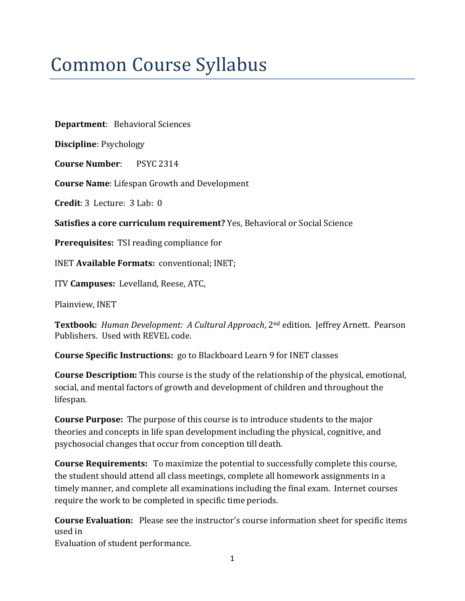# Common Course Syllabus

**Department**: Behavioral Sciences

**Discipline**: Psychology

**Course Number**: PSYC 2314

**Course Name**: Lifespan Growth and Development

**Credit**: 3 Lecture: 3 Lab: 0

**Satisfies a core curriculum requirement?** Yes, Behavioral or Social Science

**Prerequisites:** TSI reading compliance for

INET **Available Formats:** conventional; INET;

ITV **Campuses:** Levelland, Reese, ATC,

Plainview, INET

**Textbook:** *Human Development: A Cultural Approach*, 2nd edition. Jeffrey Arnett. Pearson Publishers. Used with REVEL code.

**Course Specific Instructions:** go to Blackboard Learn 9 for INET classes

**Course Description:** This course is the study of the relationship of the physical, emotional, social, and mental factors of growth and development of children and throughout the lifespan.

**Course Purpose:** The purpose of this course is to introduce students to the major theories and concepts in life span development including the physical, cognitive, and psychosocial changes that occur from conception till death.

**Course Requirements:** To maximize the potential to successfully complete this course, the student should attend all class meetings, complete all homework assignments in a timely manner, and complete all examinations including the final exam. Internet courses require the work to be completed in specific time periods.

**Course Evaluation:** Please see the instructor's course information sheet for specific items used in

Evaluation of student performance.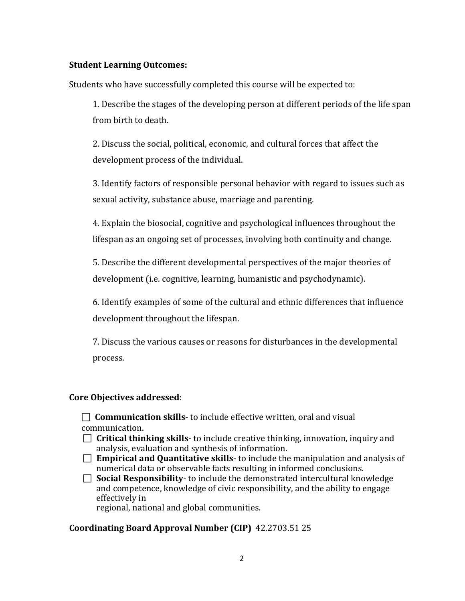## **Student Learning Outcomes:**

Students who have successfully completed this course will be expected to:

1. Describe the stages of the developing person at different periods of the life span from birth to death.

2. Discuss the social, political, economic, and cultural forces that affect the development process of the individual.

3. Identify factors of responsible personal behavior with regard to issues such as sexual activity, substance abuse, marriage and parenting.

4. Explain the biosocial, cognitive and psychological influences throughout the lifespan as an ongoing set of processes, involving both continuity and change.

5. Describe the different developmental perspectives of the major theories of development (i.e. cognitive, learning, humanistic and psychodynamic).

6. Identify examples of some of the cultural and ethnic differences that influence development throughout the lifespan.

7. Discuss the various causes or reasons for disturbances in the developmental process.

#### **Core Objectives addressed**:

 **Communication skills**- to include effective written, oral and visual communication.

- **Critical thinking skills** to include creative thinking, innovation, inquiry and analysis, evaluation and synthesis of information.
- **Empirical and Quantitative skills** to include the manipulation and analysis of numerical data or observable facts resulting in informed conclusions.

 **Social Responsibility**- to include the demonstrated intercultural knowledge and competence, knowledge of civic responsibility, and the ability to engage effectively in regional, national and global communities.

## **Coordinating Board Approval Number (CIP)** 42.2703.51 25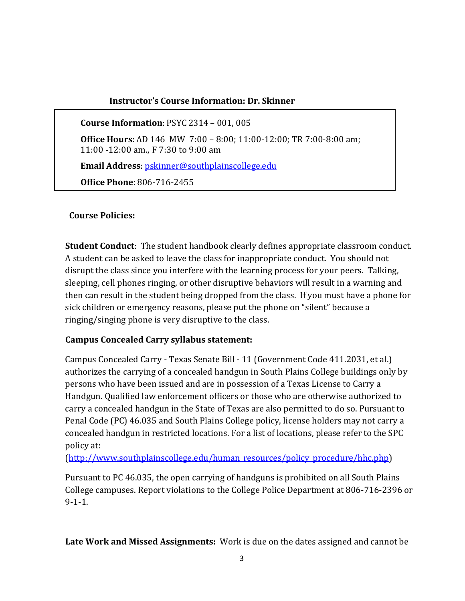## **Instructor's Course Information: Dr. Skinner**

**Course Information**: PSYC 2314 – 001, 005

**Office Hours**: AD 146 MW 7:00 – 8:00; 11:00-12:00; TR 7:00-8:00 am; 11:00 -12:00 am., F 7:30 to 9:00 am

**Email Address**: [pskinner@southplainscollege.edu](mailto:pskinner@southplainscollege.edu)

**Office Phone**: 806-716-2455

### **Course Policies:**

**Student Conduct**: The student handbook clearly defines appropriate classroom conduct. A student can be asked to leave the class for inappropriate conduct. You should not disrupt the class since you interfere with the learning process for your peers. Talking, sleeping, cell phones ringing, or other disruptive behaviors will result in a warning and then can result in the student being dropped from the class. If you must have a phone for sick children or emergency reasons, please put the phone on "silent" because a ringing/singing phone is very disruptive to the class.

## **Campus Concealed Carry syllabus statement:**

Campus Concealed Carry - Texas Senate Bill - 11 (Government Code 411.2031, et al.) authorizes the carrying of a concealed handgun in South Plains College buildings only by persons who have been issued and are in possession of a Texas License to Carry a Handgun. Qualified law enforcement officers or those who are otherwise authorized to carry a concealed handgun in the State of Texas are also permitted to do so. Pursuant to Penal Code (PC) 46.035 and South Plains College policy, license holders may not carry a concealed handgun in restricted locations. For a list of locations, please refer to the SPC policy at:

[\(http://www.southplainscollege.edu/human\\_resources/policy\\_procedure/hhc.php\)](http://www.southplainscollege.edu/human_resources/policy_procedure/hhc.php)

Pursuant to PC 46.035, the open carrying of handguns is prohibited on all South Plains College campuses. Report violations to the College Police Department at 806-716-2396 or 9-1-1.

**Late Work and Missed Assignments:** Work is due on the dates assigned and cannot be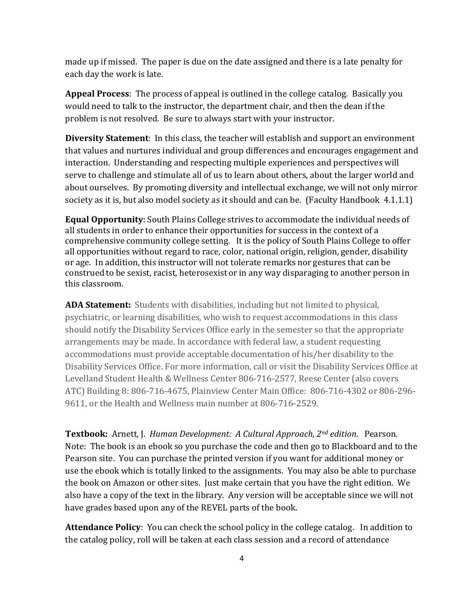made up if missed. The paper is due on the date assigned and there is a late penalty for each day the work is late.

**Appeal Process**: The process of appeal is outlined in the college catalog. Basically you would need to talk to the instructor, the department chair, and then the dean if the problem is not resolved. Be sure to always start with your instructor.

**Diversity Statement**: In this class, the teacher will establish and support an environment that values and nurtures individual and group differences and encourages engagement and interaction. Understanding and respecting multiple experiences and perspectives will serve to challenge and stimulate all of us to learn about others, about the larger world and about ourselves. By promoting diversity and intellectual exchange, we will not only mirror society as it is, but also model society as it should and can be. (Faculty Handbook 4.1.1.1)

**Equal Opportunity**: South Plains College strives to accommodate the individual needs of all students in order to enhance their opportunities for success in the context of a comprehensive community college setting. It is the policy of South Plains College to offer all opportunities without regard to race, color, national origin, religion, gender, disability or age. In addition, this instructor will not tolerate remarks nor gestures that can be construed to be sexist, racist, heterosexist or in any way disparaging to another person in this classroom.

**ADA Statement:** Students with disabilities, including but not limited to physical, psychiatric, or learning disabilities, who wish to request accommodations in this class should notify the Disability Services Office early in the semester so that the appropriate arrangements may be made. In accordance with federal law, a student requesting accommodations must provide acceptable documentation of his/her disability to the Disability Services Office. For more information, call or visit the Disability Services Office at Levelland Student Health & Wellness Center 806-716-2577, Reese Center (also covers ATC) Building 8: 806-716-4675, Plainview Center Main Office: 806-716-4302 or 806-296- 9611, or the Health and Wellness main number at 806-716-2529.

**Textbook:** Arnett, J. *Human Development: A Cultural Approach, 2nd edition.* Pearson. Note: The book is an ebook so you purchase the code and then go to Blackboard and to the Pearson site. You can purchase the printed version if you want for additional money or use the ebook which is totally linked to the assignments. You may also be able to purchase the book on Amazon or other sites. Just make certain that you have the right edition. We also have a copy of the text in the library. Any version will be acceptable since we will not have grades based upon any of the REVEL parts of the book.

**Attendance Policy**: You can check the school policy in the college catalog. In addition to the catalog policy, roll will be taken at each class session and a record of attendance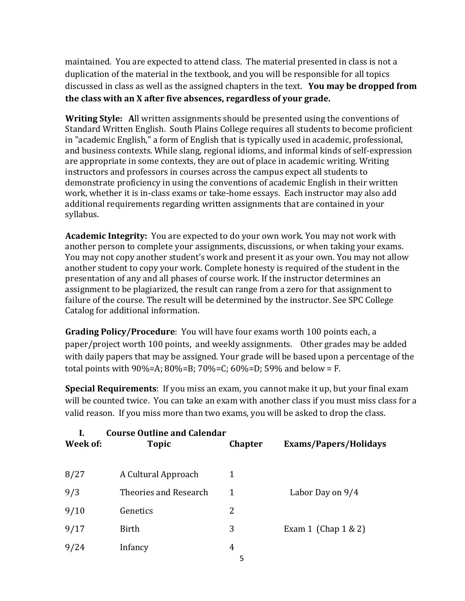maintained. You are expected to attend class. The material presented in class is not a duplication of the material in the textbook, and you will be responsible for all topics discussed in class as well as the assigned chapters in the text. **You may be dropped from the class with an X after five absences, regardless of your grade.**

**Writing Style: A**ll written assignments should be presented using the conventions of Standard Written English. South Plains College requires all students to become proficient in "academic English," a form of English that is typically used in academic, professional, and business contexts. While slang, regional idioms, and informal kinds of self-expression are appropriate in some contexts, they are out of place in academic writing. Writing instructors and professors in courses across the campus expect all students to demonstrate proficiency in using the conventions of academic English in their written work, whether it is in-class exams or take-home essays. Each instructor may also add additional requirements regarding written assignments that are contained in your syllabus.

**Academic Integrity:** You are expected to do your own work. You may not work with another person to complete your assignments, discussions, or when taking your exams. You may not copy another student's work and present it as your own. You may not allow another student to copy your work. Complete honesty is required of the student in the presentation of any and all phases of course work. If the instructor determines an assignment to be plagiarized, the result can range from a zero for that assignment to failure of the course. The result will be determined by the instructor. See SPC College Catalog for additional information.

**Grading Policy/Procedure**: You will have four exams worth 100 points each, a paper/project worth 100 points, and weekly assignments. Other grades may be added with daily papers that may be assigned. Your grade will be based upon a percentage of the total points with 90%=A; 80%=B; 70%=C; 60%=D; 59% and below = F.

**Special Requirements**: If you miss an exam, you cannot make it up, but your final exam will be counted twice. You can take an exam with another class if you must miss class for a valid reason. If you miss more than two exams, you will be asked to drop the class.

| Week of: | <b>Course Outline and Calendar</b><br><b>Topic</b> | <b>Chapter</b> | Exams/Papers/Holidays   |
|----------|----------------------------------------------------|----------------|-------------------------|
| 8/27     | A Cultural Approach                                |                |                         |
| 9/3      | Theories and Research                              | 1              | Labor Day on 9/4        |
| 9/10     | Genetics                                           | 2              |                         |
| 9/17     | Birth                                              | 3              | Exam 1 (Chap $1 \& 2$ ) |
| 9/24     | Infancy                                            | 4              |                         |